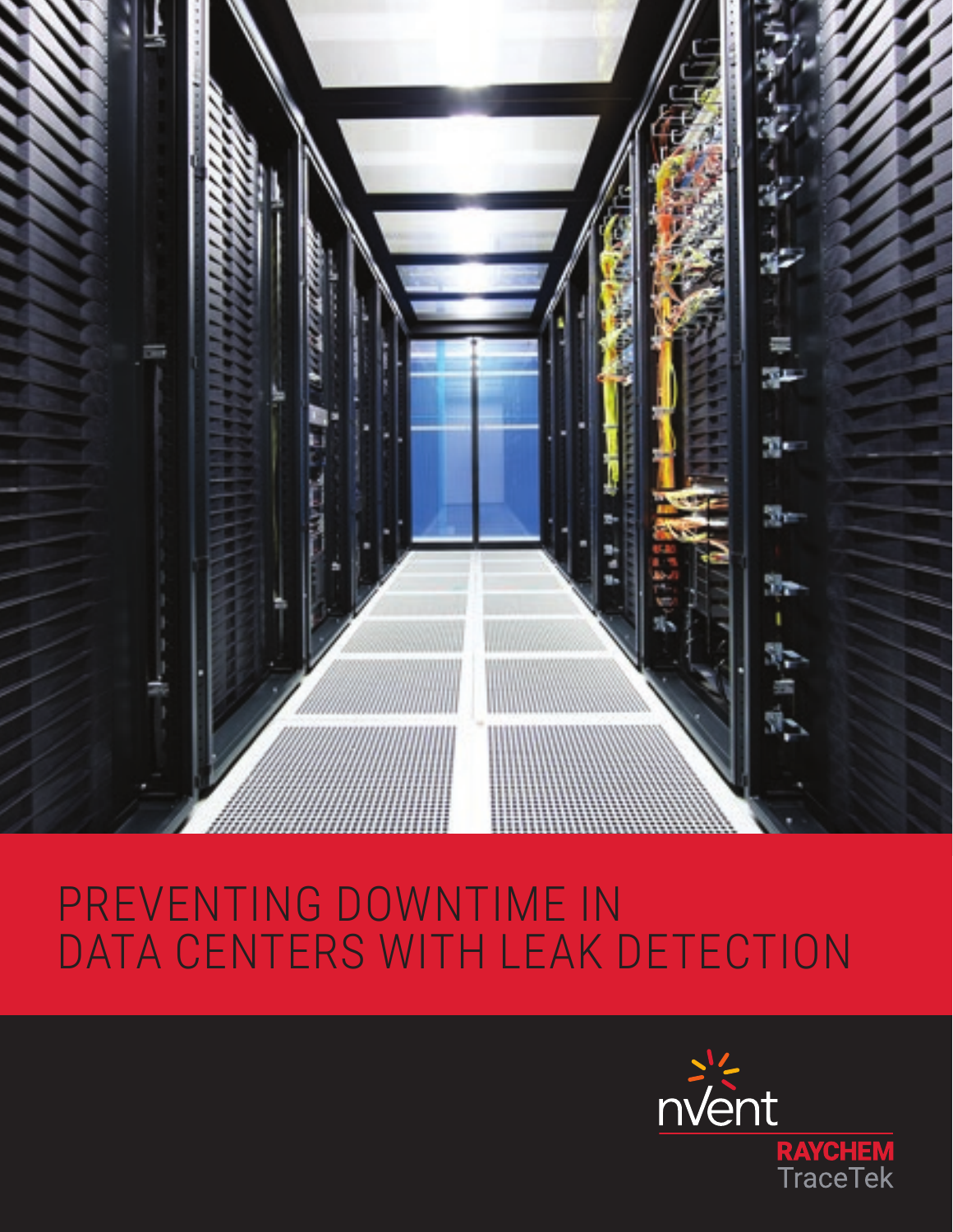

# PREVENTING DOWNTIME IN DATA CENTERS WITH LEAK DETECTION

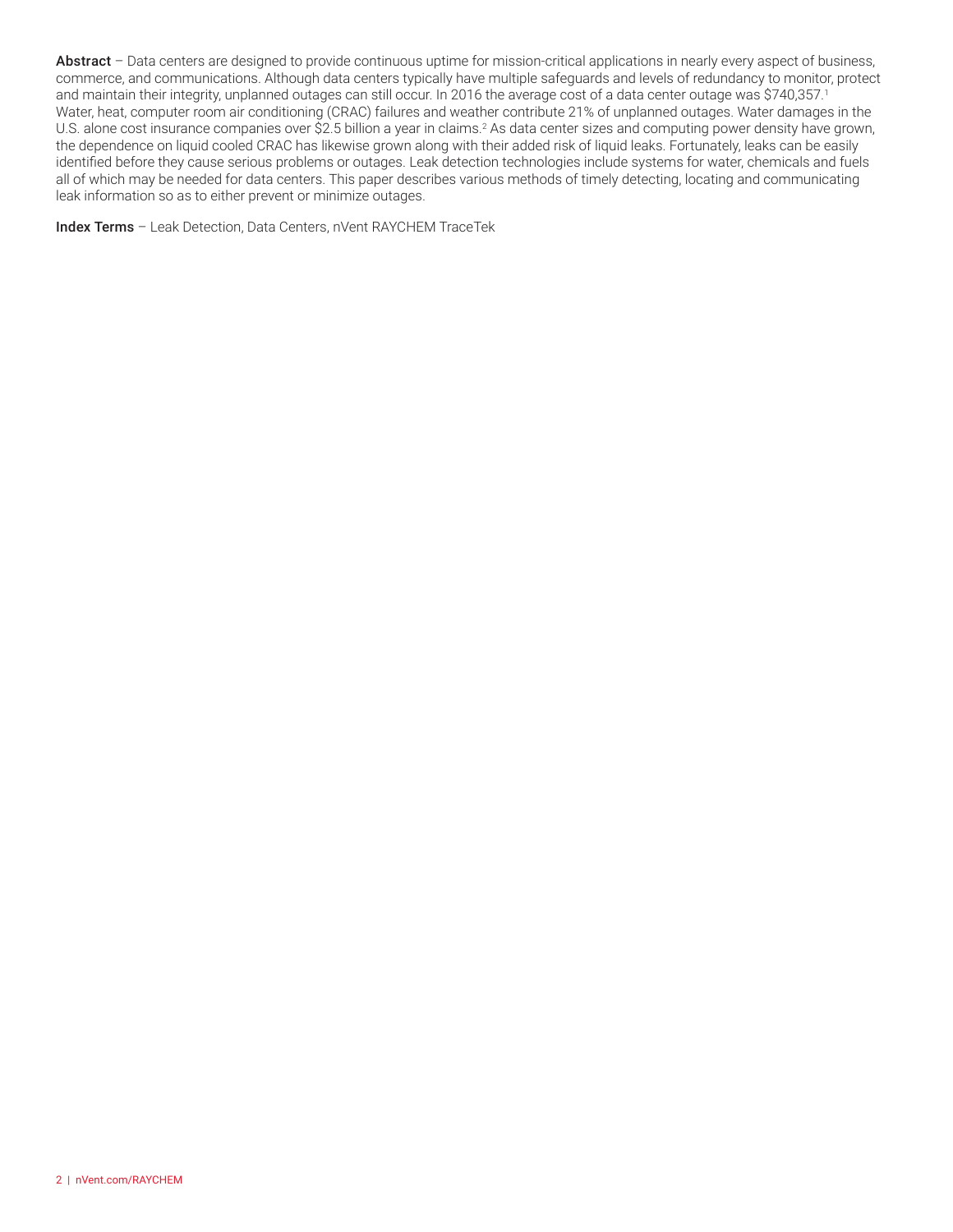Abstract – Data centers are designed to provide continuous uptime for mission-critical applications in nearly every aspect of business, commerce, and communications. Although data centers typically have multiple safeguards and levels of redundancy to monitor, protect and maintain their integrity, unplanned outages can still occur. In 2016 the average cost of a data center outage was \$740,357.1 Water, heat, computer room air conditioning (CRAC) failures and weather contribute 21% of unplanned outages. Water damages in the U.S. alone cost insurance companies over \$2.5 billion a year in claims.<sup>2</sup> As data center sizes and computing power density have grown, the dependence on liquid cooled CRAC has likewise grown along with their added risk of liquid leaks. Fortunately, leaks can be easily identified before they cause serious problems or outages. Leak detection technologies include systems for water, chemicals and fuels all of which may be needed for data centers. This paper describes various methods of timely detecting, locating and communicating leak information so as to either prevent or minimize outages.

Index Terms – Leak Detection, Data Centers, nVent RAYCHEM TraceTek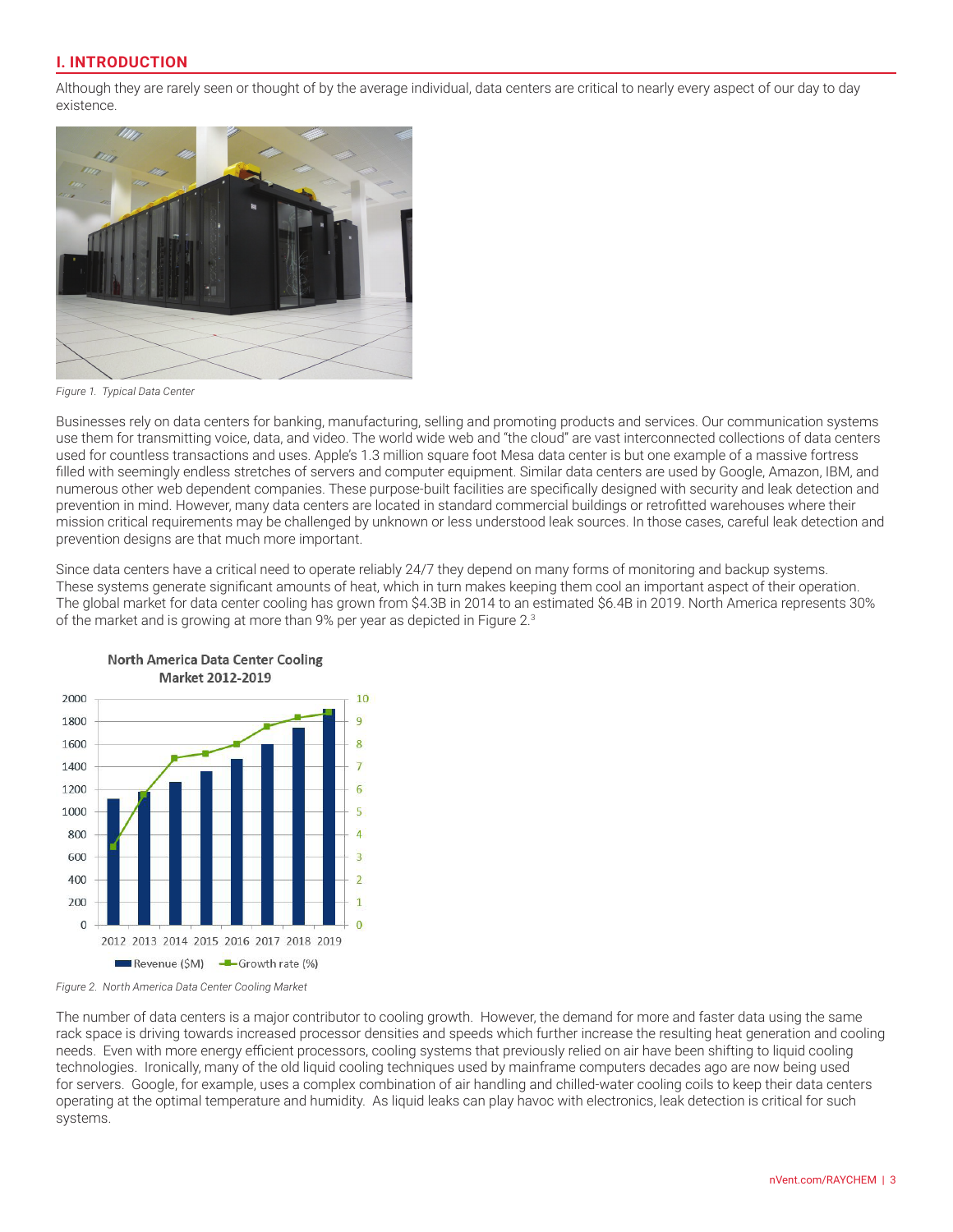# **I. INTRODUCTION**

Although they are rarely seen or thought of by the average individual, data centers are critical to nearly every aspect of our day to day existence.



*Figure 1. Typical Data Center*

Businesses rely on data centers for banking, manufacturing, selling and promoting products and services. Our communication systems use them for transmitting voice, data, and video. The world wide web and "the cloud" are vast interconnected collections of data centers used for countless transactions and uses. Apple's 1.3 million square foot Mesa data center is but one example of a massive fortress filled with seemingly endless stretches of servers and computer equipment. Similar data centers are used by Google, Amazon, IBM, and numerous other web dependent companies. These purpose-built facilities are specifically designed with security and leak detection and prevention in mind. However, many data centers are located in standard commercial buildings or retrofitted warehouses where their mission critical requirements may be challenged by unknown or less understood leak sources. In those cases, careful leak detection and prevention designs are that much more important.

Since data centers have a critical need to operate reliably 24/7 they depend on many forms of monitoring and backup systems. These systems generate significant amounts of heat, which in turn makes keeping them cool an important aspect of their operation. The global market for data center cooling has grown from \$4.3B in 2014 to an estimated \$6.4B in 2019. North America represents 30% of the market and is growing at more than 9% per year as depicted in Figure 2.3



**North America Data Center Cooling** 

*Figure 2. North America Data Center Cooling Market*

The number of data centers is a major contributor to cooling growth. However, the demand for more and faster data using the same rack space is driving towards increased processor densities and speeds which further increase the resulting heat generation and cooling needs. Even with more energy efficient processors, cooling systems that previously relied on air have been shifting to liquid cooling technologies. Ironically, many of the old liquid cooling techniques used by mainframe computers decades ago are now being used for servers. Google, for example, uses a complex combination of air handling and chilled-water cooling coils to keep their data centers operating at the optimal temperature and humidity. As liquid leaks can play havoc with electronics, leak detection is critical for such systems.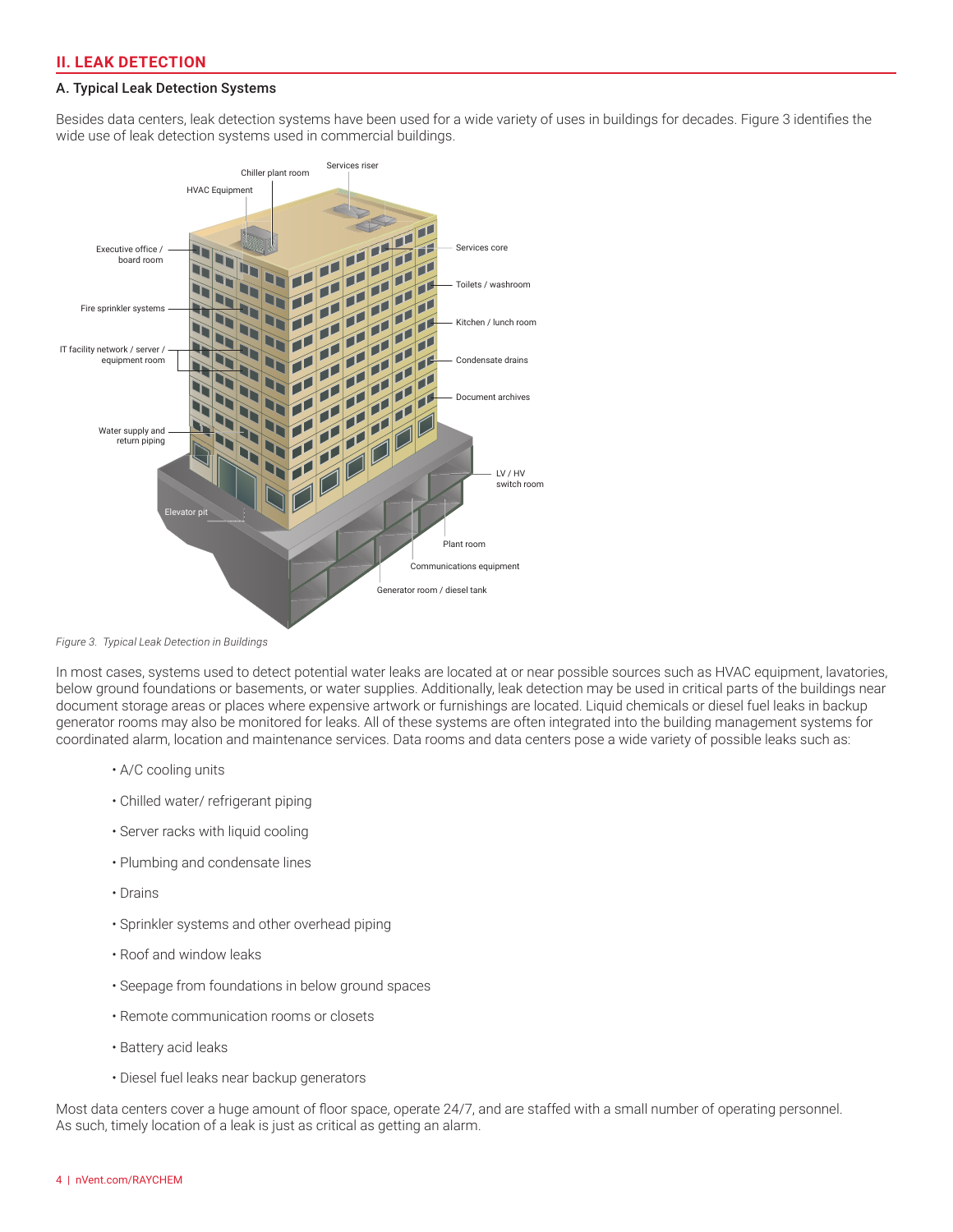## **II. LEAK DETECTION**

#### A. Typical Leak Detection Systems

Besides data centers, leak detection systems have been used for a wide variety of uses in buildings for decades. Figure 3 identifies the wide use of leak detection systems used in commercial buildings.



*Figure 3. Typical Leak Detection in Buildings*

In most cases, systems used to detect potential water leaks are located at or near possible sources such as HVAC equipment, lavatories, below ground foundations or basements, or water supplies. Additionally, leak detection may be used in critical parts of the buildings near document storage areas or places where expensive artwork or furnishings are located. Liquid chemicals or diesel fuel leaks in backup generator rooms may also be monitored for leaks. All of these systems are often integrated into the building management systems for coordinated alarm, location and maintenance services. Data rooms and data centers pose a wide variety of possible leaks such as:

- A/C cooling units
- Chilled water/ refrigerant piping
- Server racks with liquid cooling
- Plumbing and condensate lines
- Drains
- Sprinkler systems and other overhead piping
- Roof and window leaks
- Seepage from foundations in below ground spaces
- Remote communication rooms or closets
- Battery acid leaks
- Diesel fuel leaks near backup generators

Most data centers cover a huge amount of floor space, operate 24/7, and are staffed with a small number of operating personnel. As such, timely location of a leak is just as critical as getting an alarm.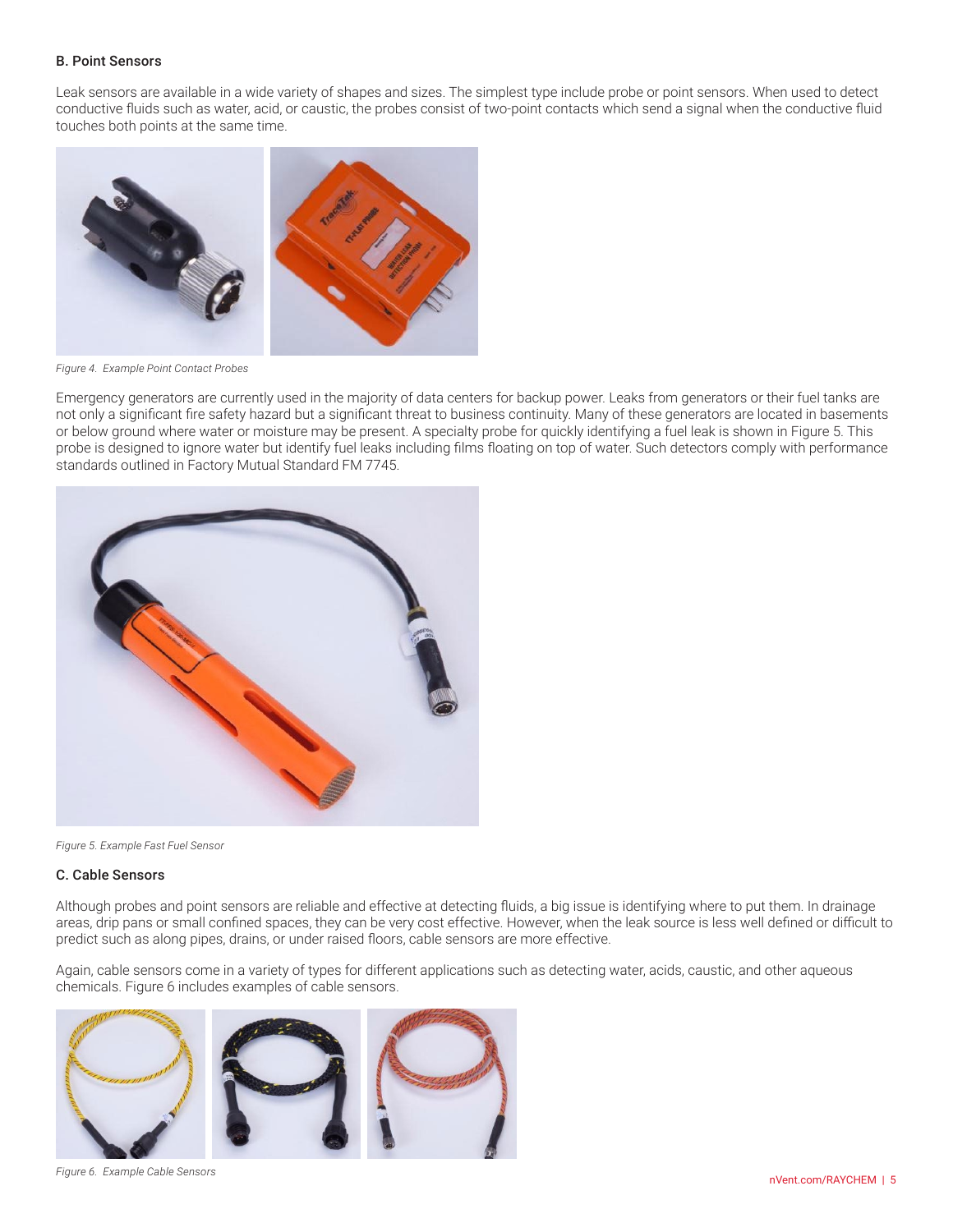#### B. Point Sensors

Leak sensors are available in a wide variety of shapes and sizes. The simplest type include probe or point sensors. When used to detect conductive fluids such as water, acid, or caustic, the probes consist of two-point contacts which send a signal when the conductive fluid touches both points at the same time.



*Figure 4. Example Point Contact Probes*

Emergency generators are currently used in the majority of data centers for backup power. Leaks from generators or their fuel tanks are not only a significant fire safety hazard but a significant threat to business continuity. Many of these generators are located in basements or below ground where water or moisture may be present. A specialty probe for quickly identifying a fuel leak is shown in Figure 5. This probe is designed to ignore water but identify fuel leaks including films floating on top of water. Such detectors comply with performance standards outlined in Factory Mutual Standard FM 7745.



*Figure 5. Example Fast Fuel Sensor*

#### C. Cable Sensors

Although probes and point sensors are reliable and effective at detecting fluids, a big issue is identifying where to put them. In drainage areas, drip pans or small confined spaces, they can be very cost effective. However, when the leak source is less well defined or difficult to predict such as along pipes, drains, or under raised floors, cable sensors are more effective.

Again, cable sensors come in a variety of types for different applications such as detecting water, acids, caustic, and other aqueous chemicals. Figure 6 includes examples of cable sensors.



*Figure 6. Example Cable Sensors*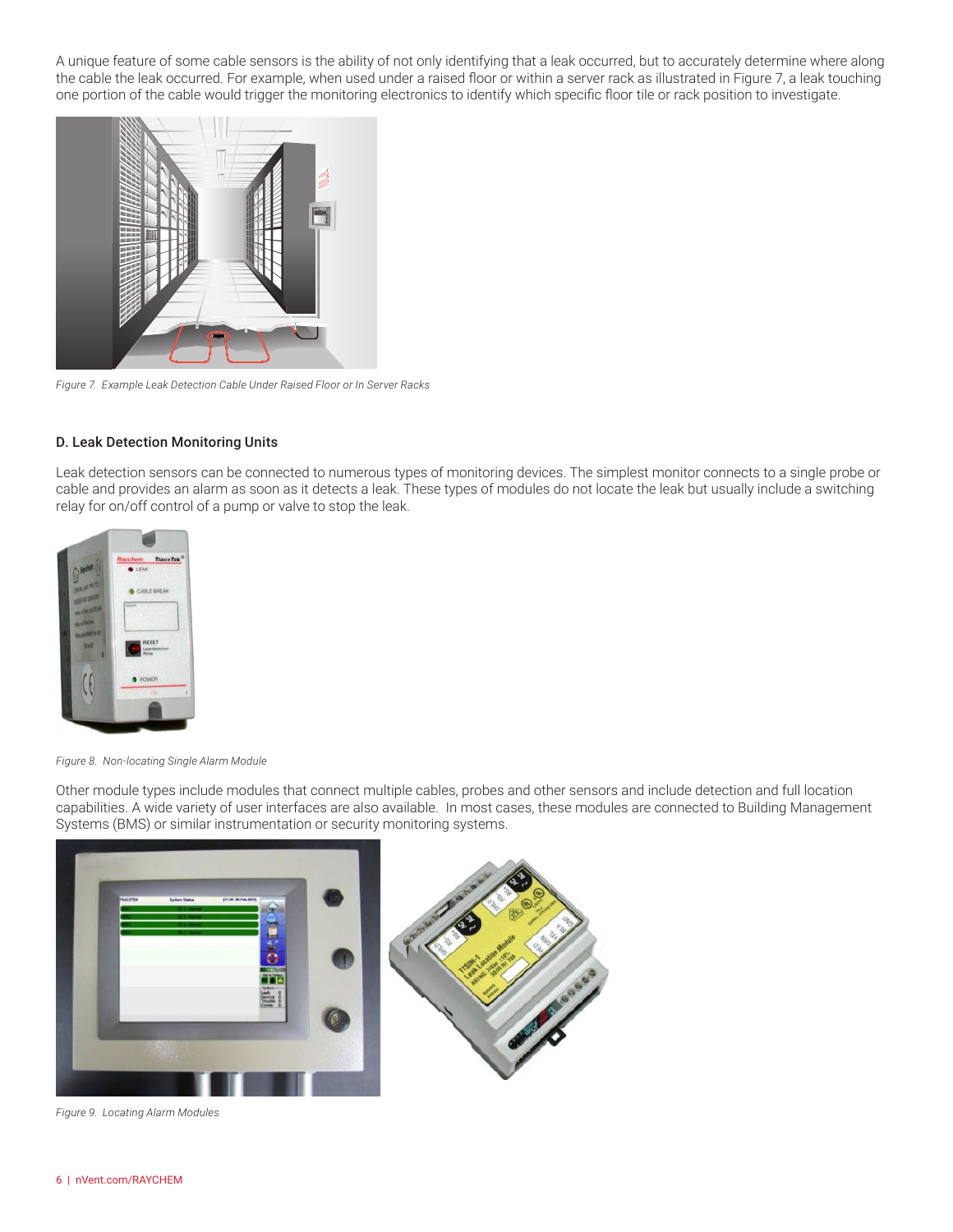A unique feature of some cable sensors is the ability of not only identifying that a leak occurred, but to accurately determine where along the cable the leak occurred. For example, when used under a raised floor or within a server rack as illustrated in Figure 7, a leak touching one portion of the cable would trigger the monitoring electronics to identify which specific floor tile or rack position to investigate.



*Figure 7. Example Leak Detection Cable Under Raised Floor or In Server Racks*

#### D. Leak Detection Monitoring Units

Leak detection sensors can be connected to numerous types of monitoring devices. The simplest monitor connects to a single probe or cable and provides an alarm as soon as it detects a leak. These types of modules do not locate the leak but usually include a switching relay for on/off control of a pump or valve to stop the leak.



*Figure 8. Non-locating Single Alarm Module*

Other module types include modules that connect multiple cables, probes and other sensors and include detection and full location capabilities. A wide variety of user interfaces are also available. In most cases, these modules are connected to Building Management Systems (BMS) or similar instrumentation or security monitoring systems.



*Figure 9. Locating Alarm Modules*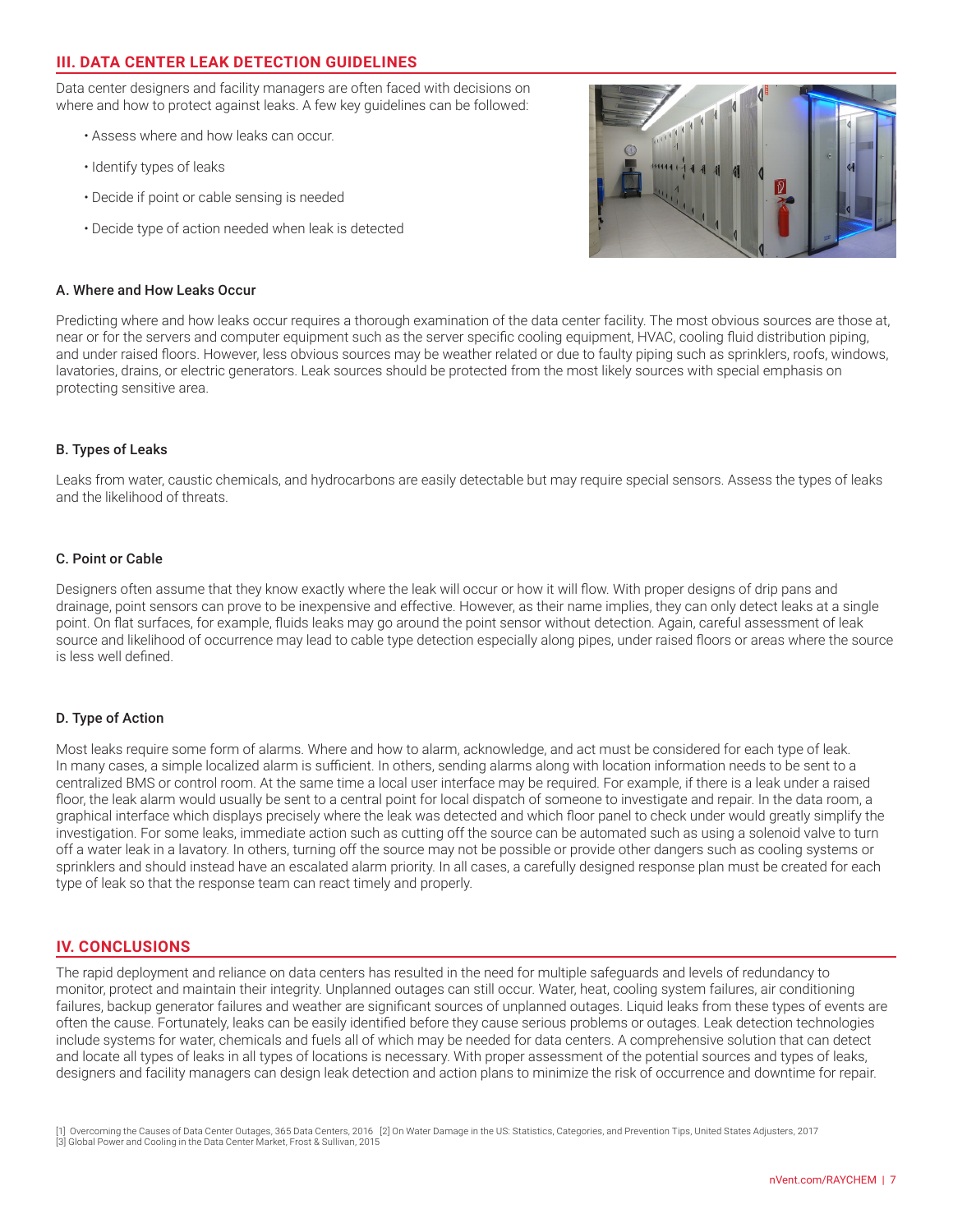# **III. DATA CENTER LEAK DETECTION GUIDELINES**

Data center designers and facility managers are often faced with decisions on where and how to protect against leaks. A few key guidelines can be followed:

- Assess where and how leaks can occur.
- Identify types of leaks
- Decide if point or cable sensing is needed
- Decide type of action needed when leak is detected



#### A. Where and How Leaks Occur

Predicting where and how leaks occur requires a thorough examination of the data center facility. The most obvious sources are those at, near or for the servers and computer equipment such as the server specific cooling equipment, HVAC, cooling fluid distribution piping, and under raised floors. However, less obvious sources may be weather related or due to faulty piping such as sprinklers, roofs, windows, lavatories, drains, or electric generators. Leak sources should be protected from the most likely sources with special emphasis on protecting sensitive area.

#### B. Types of Leaks

Leaks from water, caustic chemicals, and hydrocarbons are easily detectable but may require special sensors. Assess the types of leaks and the likelihood of threats.

#### C. Point or Cable

Designers often assume that they know exactly where the leak will occur or how it will flow. With proper designs of drip pans and drainage, point sensors can prove to be inexpensive and effective. However, as their name implies, they can only detect leaks at a single point. On flat surfaces, for example, fluids leaks may go around the point sensor without detection. Again, careful assessment of leak source and likelihood of occurrence may lead to cable type detection especially along pipes, under raised floors or areas where the source is less well defined.

#### D. Type of Action

Most leaks require some form of alarms. Where and how to alarm, acknowledge, and act must be considered for each type of leak. In many cases, a simple localized alarm is sufficient. In others, sending alarms along with location information needs to be sent to a centralized BMS or control room. At the same time a local user interface may be required. For example, if there is a leak under a raised floor, the leak alarm would usually be sent to a central point for local dispatch of someone to investigate and repair. In the data room, a graphical interface which displays precisely where the leak was detected and which floor panel to check under would greatly simplify the investigation. For some leaks, immediate action such as cutting off the source can be automated such as using a solenoid valve to turn off a water leak in a lavatory. In others, turning off the source may not be possible or provide other dangers such as cooling systems or sprinklers and should instead have an escalated alarm priority. In all cases, a carefully designed response plan must be created for each type of leak so that the response team can react timely and properly.

## **IV. CONCLUSIONS**

The rapid deployment and reliance on data centers has resulted in the need for multiple safeguards and levels of redundancy to monitor, protect and maintain their integrity. Unplanned outages can still occur. Water, heat, cooling system failures, air conditioning failures, backup generator failures and weather are significant sources of unplanned outages. Liquid leaks from these types of events are often the cause. Fortunately, leaks can be easily identified before they cause serious problems or outages. Leak detection technologies include systems for water, chemicals and fuels all of which may be needed for data centers. A comprehensive solution that can detect and locate all types of leaks in all types of locations is necessary. With proper assessment of the potential sources and types of leaks, designers and facility managers can design leak detection and action plans to minimize the risk of occurrence and downtime for repair.

<sup>[1]</sup> Overcoming the Causes of Data Center Outages, 365 Data Centers, 2016 [2] On Water Damage in the US: Statistics, Categories, and Prevention Tips, United States Adjusters, 2017 [3] Global Power and Cooling in the Data Center Market, Frost & Sullivan, 2015